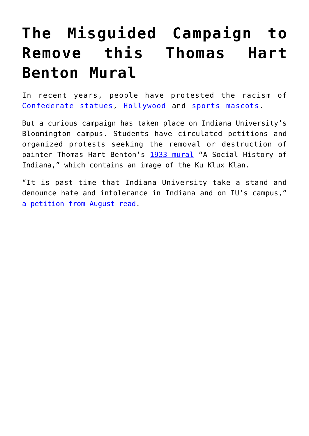## **[The Misguided Campaign to](https://intellectualtakeout.org/2017/10/the-misguided-campaign-to-remove-this-thomas-hart-benton-mural/) [Remove this Thomas Hart](https://intellectualtakeout.org/2017/10/the-misguided-campaign-to-remove-this-thomas-hart-benton-mural/) [Benton Mural](https://intellectualtakeout.org/2017/10/the-misguided-campaign-to-remove-this-thomas-hart-benton-mural/)**

In recent years, people have protested the racism of [Confederate statues,](https://theconversation.com/the-confederate-statue-debate-3-essential-reads-82729) [Hollywood](http://www.latimes.com/entertainment/la-et-oscars-so-white-reaction-htmlstory.html) and [sports mascots.](https://theconversation.com/new-research-shows-how-native-american-mascots-reinforce-stereotypes-63861)

But a curious campaign has taken place on Indiana University's Bloomington campus. Students have circulated petitions and organized protests seeking the removal or destruction of painter Thomas Hart Benton's [1933 mural](http://www.iuauditorium.com/about-us/thomas-hart-benton-murals) "A Social History of Indiana," which contains an image of the Ku Klux Klan.

"It is past time that Indiana University take a stand and denounce hate and intolerance in Indiana and on IU's campus," [a petition from August read.](https://www.usatoday.com/story/news/2017/08/30/petition-calls-removal-iu-bloomington-mural-depicting-kkk-rally/610455001/)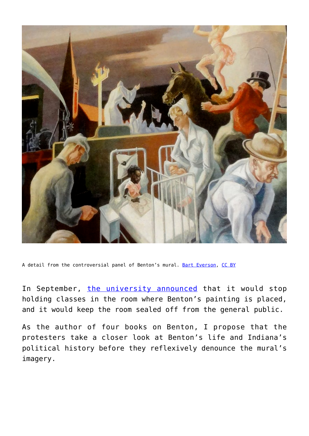

A detail from the controversial panel of Benton's mural. [Bart Everson](https://c1.staticflickr.com/8/7542/15667217698_fd4fc33e3f_b.jpg), [CC BY](http://creativecommons.org/licenses/by/4.0/)

In September, [the university announced](http://indianapublicmedia.org/news/iu-longer-hold-classes-room-controversial-kkk-mural-128521/) that it would stop holding classes in the room where Benton's painting is placed, and it would keep the room sealed off from the general public.

As the author of four books on Benton, I propose that the protesters take a closer look at Benton's life and Indiana's political history before they reflexively denounce the mural's imagery.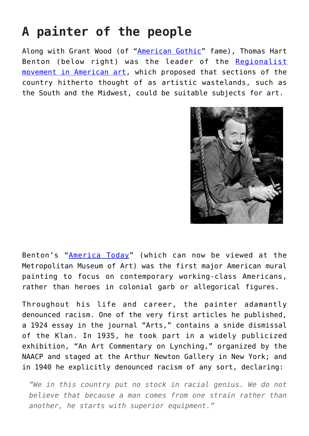## **A painter of the people**

Along with Grant Wood (of "[American Gothic](http://www.americangothichouse.net/about/the-painting/)" fame), Thomas Hart Benton (below right) was the leader of the [Regionalist](http://benton.truman.edu/murals_regionalism.html) [movement in American art](http://benton.truman.edu/murals_regionalism.html), which proposed that sections of the country hitherto thought of as artistic wastelands, such as the South and the Midwest, could be suitable subjects for art.



Benton's "[America Today](https://www.metmuseum.org/toah/hd/bent/hd_bent.htm)" (which can now be viewed at the Metropolitan Museum of Art) was the first major American mural painting to focus on contemporary working-class Americans, rather than heroes in colonial garb or allegorical figures.

Throughout his life and career, the painter adamantly denounced racism. One of the very first articles he published, a 1924 essay in the journal "Arts," contains a snide dismissal of the Klan. In 1935, he took part in a widely publicized exhibition, "An Art Commentary on Lynching," organized by the NAACP and staged at the Arthur Newton Gallery in New York; and in 1940 he explicitly denounced racism of any sort, declaring:

*"We in this country put no stock in racial genius. We do not believe that because a man comes from one strain rather than another, he starts with superior equipment."*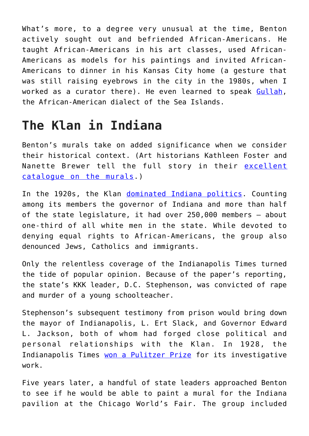What's more, to a degree very unusual at the time, Benton actively sought out and befriended African-Americans. He taught African-Americans in his art classes, used African-Americans as models for his paintings and invited African-Americans to dinner in his Kansas City home (a gesture that was still raising eyebrows in the city in the 1980s, when I worked as a curator there). He even learned to speak [Gullah,](https://en.wikipedia.org/wiki/Gullah_language) the African-American dialect of the Sea Islands.

## **The Klan in Indiana**

Benton's murals take on added significance when we consider their historical context. (Art historians Kathleen Foster and Nanette Brewer tell the full story in their [excellent](http://www.iupress.indiana.edu/product_info.php?products_id=60945) [catalogue on the murals](http://www.iupress.indiana.edu/product_info.php?products_id=60945).)

In the 1920s, the Klan [dominated Indiana politics](https://books.google.com/books?id=xa0pAAAACAAJ&dq=klan+in+indiana&hl=en&sa=X&ved=0ahUKEwigsseuiJHXAhVGSSYKHQ4zB54Q6AEILDAB). Counting among its members the governor of Indiana and more than half of the state legislature, it had over 250,000 members – about one-third of all white men in the state. While devoted to denying equal rights to African-Americans, the group also denounced Jews, Catholics and immigrants.

Only the relentless coverage of the Indianapolis Times turned the tide of popular opinion. Because of the paper's reporting, the state's KKK leader, D.C. Stephenson, was convicted of rape and murder of a young schoolteacher.

Stephenson's subsequent testimony from prison would bring down the mayor of Indianapolis, L. Ert Slack, and Governor Edward L. Jackson, both of whom had forged close political and personal relationships with the Klan. In 1928, the Indianapolis Times [won a Pulitzer Prize](http://www.pulitzer.org/winners/indianapolis-times) for its investigative work.

Five years later, a handful of state leaders approached Benton to see if he would be able to paint a mural for the Indiana pavilion at the Chicago World's Fair. The group included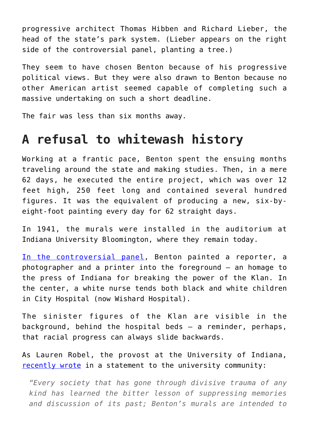progressive architect Thomas Hibben and Richard Lieber, the head of the state's park system. (Lieber appears on the right side of the controversial panel, planting a tree.)

They seem to have chosen Benton because of his progressive political views. But they were also drawn to Benton because no other American artist seemed capable of completing such a massive undertaking on such a short deadline.

The fair was less than six months away.

## **A refusal to whitewash history**

Working at a frantic pace, Benton spent the ensuing months traveling around the state and making studies. Then, in a mere 62 days, he executed the entire project, which was over 12 feet high, 250 feet long and contained several hundred figures. It was the equivalent of producing a new, six-byeight-foot painting every day for 62 straight days.

In 1941, the murals were installed in the auditorium at Indiana University Bloomington, where they remain today.

[In the controversial panel](https://mwcapacity.files.wordpress.com/2009/02/benton_mural.jpg), Benton painted a reporter, a photographer and a printer into the foreground – an homage to the press of Indiana for breaking the power of the Klan. In the center, a white nurse tends both black and white children in City Hospital (now Wishard Hospital).

The sinister figures of the Klan are visible in the background, behind the hospital beds – a reminder, perhaps, that racial progress can always slide backwards.

As Lauren Robel, the provost at the University of Indiana, [recently wrote](https://provost.indiana.edu/statements/archive/benton-murals.html) in a statement to the university community:

*"Every society that has gone through divisive trauma of any kind has learned the bitter lesson of suppressing memories and discussion of its past; Benton's murals are intended to*